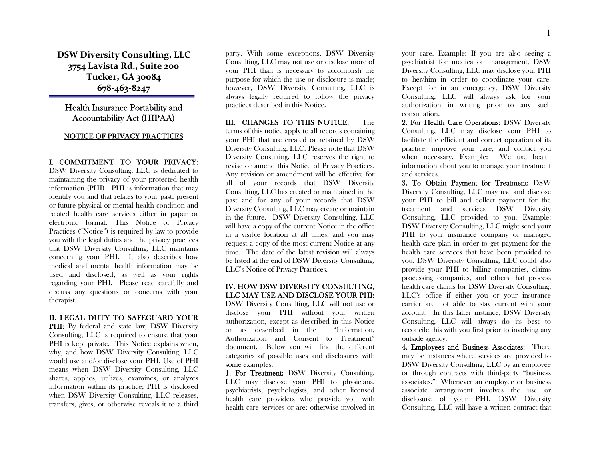DSW Diversity Consulting, LLC 3754 Lavista Rd., Suite 200 Tucker, GA 30084 678-463-8247

# Health Insurance Portability and Accountability Act (HIPAA)

## NOTICE OF PRIVACY PRACTICES

#### I. COMMITMENT TO YOUR PRIVACY:

DSW Diversity Consulting, LLC is dedicated to maintaining the privacy of your protected health information (PHI). PHI is information that may identify you and that relates to your past, present or future physical or mental health condition and related health care services either in paper or electronic format. This Notice of Privacy Practices ("Notice") is required by law to provide you with the legal duties and the privacy practices that DSW Diversity Consulting, LLC maintains concerning your PHI. It also describes how medical and mental health information may be used and disclosed, as well as your rights regarding your PHI. Please read carefully and discuss any questions or concerns with your therapist.

# II. LEGAL DUTY TO SAFEGUARD YOUR

**PHI:** By federal and state law, DSW Diversity Consulting, LLC is required to ensure that your PHI is kept private. This Notice explains when, why, and how DSW Diversity Consulting, LLC would use and/or disclose your PHI. Use of PHI means when DSW Diversity Consulting, LLC shares, applies, utilizes, examines, or analyzes information within its practice; PHI is disclosed when DSW Diversity Consulting, LLC releases, transfers, gives, or otherwise reveals it to a third

party. With some exceptions, DSW Diversity Consulting, LLC may not use or disclose more of your PHI than is necessary to accomplish the purpose for which the use or disclosure is made; however, DSW Diversity Consulting, LLC is always legally required to follow the privacy practices described in this Notice.

III. CHANGES TO THIS NOTICE: The terms of this notice apply to all records containing your PHI that are created or retained by DSW Diversity Consulting, LLC. Please note that DSW Diversity Consulting, LLC reserves the right to revise or amend this Notice of Privacy Practices. Any revision or amendment will be effective for all of your records that DSW Diversity Consulting, LLC has created or maintained in the past and for any of your records that DSW Diversity Consulting, LLC may create or maintain in the future. DSW Diversity Consulting, LLC will have a copy of the current Notice in the office in a visible location at all times, and you may request a copy of the most current Notice at any time. The date of the latest revision will always be listed at the end of DSW Diversity Consulting, LLC's Notice of Privacy Practices.

### IV. HOW DSW DIVERSITY CONSULTING, LLC MAY USE AND DISCLOSE YOUR PHI:

DSW Diversity Consulting, LLC will not use or disclose your PHI without your written authorization, except as described in this Notice or as described in the "Information, Authorization and Consent to Treatment" document. Below you will find the different categories of possible uses and disclosures with some examples.

1. For Treatment: DSW Diversity Consulting, LLC may disclose your PHI to physicians, psychiatrists, psychologists, and other licensed health care providers who provide you with health care services or are; otherwise involved in your care. Example: If you are also seeing a psychiatrist for medication management, DSW Diversity Consulting, LLC may disclose your PHI to her/him in order to coordinate your care. Except for in an emergency, DSW Diversity Consulting, LLC will always ask for your authorization in writing prior to any such consultation.

2. For Health Care Operations: DSW Diversity Consulting, LLC may disclose your PHI to facilitate the efficient and correct operation of its practice, improve your care, and contact you when necessary. Example: We use health information about you to manage your treatment and services.

3. To Obtain Payment for Treatment: DSW Diversity Consulting, LLC may use and disclose your PHI to bill and collect payment for the treatment and services DSW Diversity Consulting, LLC provided to you. Example: DSW Diversity Consulting, LLC might send your PHI to your insurance company or managed health care plan in order to get payment for the health care services that have been provided to you. DSW Diversity Consulting, LLC could also provide your PHI to billing companies, claims processing companies, and others that process health care claims for DSW Diversity Consulting, LLC's office if either you or your insurance carrier are not able to stay current with your account. In this latter instance, DSW Diversity Consulting, LLC will always do its best to reconcile this with you first prior to involving any outside agency.

4. Employees and Business Associates: There may be instances where services are provided to DSW Diversity Consulting, LLC by an employee or through contracts with third-party "business associates." Whenever an employee or business associate arrangement involves the use or disclosure of your PHI, DSW Diversity Consulting, LLC will have a written contract that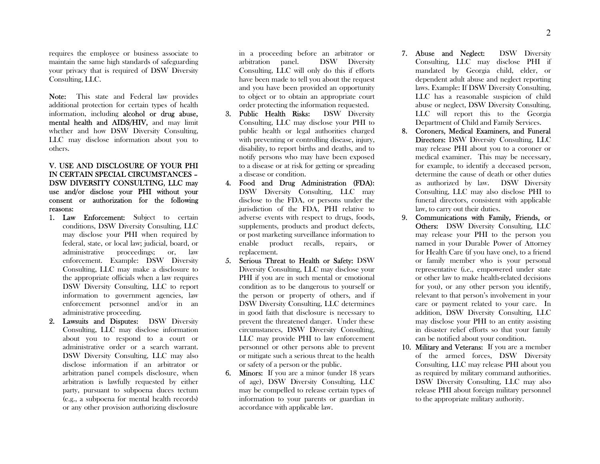requires the employee or business associate to maintain the same high standards of safeguarding your privacy that is required of DSW Diversity Consulting, LLC.

Note: This state and Federal law provides additional protection for certain types of health information, including alcohol or drug abuse, mental health and AIDS/HIV, and may limit whether and how DSW Diversity Consulting, LLC may disclose information about you to others.

### V. USE AND DISCLOSURE OF YOUR PHI IN CERTAIN SPECIAL CIRCUMSTANCES – DSW DIVERSITY CONSULTING, LLC may use and/or disclose your PHI without your consent or authorization for the following reasons:

- 1. Law Enforcement: Subject to certain conditions, DSW Diversity Consulting, LLC may disclose your PHI when required by federal, state, or local law; judicial, board, or administrative proceedings; or, law enforcement. Example: DSW Diversity Consulting, LLC may make a disclosure to the appropriate officials when a law requires DSW Diversity Consulting, LLC to report information to government agencies, law enforcement personnel and/or in an administrative proceeding.
- 2. Lawsuits and Disputes: DSW Diversity Consulting, LLC may disclose information about you to respond to a court or administrative order or a search warrant. DSW Diversity Consulting, LLC may also disclose information if an arbitrator or arbitration panel compels disclosure, when arbitration is lawfully requested by either party, pursuant to subpoena duces tectum (e.g., a subpoena for mental health records) or any other provision authorizing disclosure

in a proceeding before an arbitrator or arbitration panel. DSW Diversity Consulting, LLC will only do this if efforts have been made to tell you about the request and you have been provided an opportunity to object or to obtain an appropriate court order protecting the information requested.

- 3. Public Health Risks: DSW Diversity Consulting, LLC may disclose your PHI to public health or legal authorities charged with preventing or controlling disease, injury, disability, to report births and deaths, and to notify persons who may have been exposed to a disease or at risk for getting or spreading a disease or condition.
- 4. Food and Drug Administration (FDA): DSW Diversity Consulting, LLC may disclose to the FDA, or persons under the jurisdiction of the FDA, PHI relative to adverse events with respect to drugs, foods, supplements, products and product defects, or post marketing surveillance information to enable product recalls, repairs, or replacement.
- 5. Serious Threat to Health or Safety: DSW Diversity Consulting, LLC may disclose your PHI if you are in such mental or emotional condition as to be dangerous to yourself or the person or property of others, and if DSW Diversity Consulting, LLC determines in good faith that disclosure is necessary to prevent the threatened danger. Under these circumstances, DSW Diversity Consulting, LLC may provide PHI to law enforcement personnel or other persons able to prevent or mitigate such a serious threat to the health or safety of a person or the public.
- 6. Minors: If you are a minor (under 18 years of age), DSW Diversity Consulting, LLC may be compelled to release certain types of information to your parents or guardian in accordance with applicable law.
- 7. Abuse and Neglect: DSW Diversity Consulting, LLC may disclose PHI if mandated by Georgia child, elder, or dependent adult abuse and neglect reporting laws. Example: If DSW Diversity Consulting, LLC has a reasonable suspicion of child abuse or neglect, DSW Diversity Consulting, LLC will report this to the Georgia Department of Child and Family Services.
- 8. Coroners, Medical Examiners, and Funeral Directors: DSW Diversity Consulting, LLC may release PHI about you to a coroner or medical examiner. This may be necessary, for example, to identify a deceased person, determine the cause of death or other duties as authorized by law. DSW Diversity Consulting, LLC may also disclose PHI to funeral directors, consistent with applicable law, to carry out their duties.
- 9. Communications with Family, Friends, or Others: DSW Diversity Consulting, LLC may release your PHI to the person you named in your Durable Power of Attorney for Health Care (if you have one), to a friend or family member who is your personal representative (i.e., empowered under state or other law to make health-related decisions for you), or any other person you identify, relevant to that person's involvement in your care or payment related to your care. In addition, DSW Diversity Consulting, LLC may disclose your PHI to an entity assisting in disaster relief efforts so that your family can be notified about your condition.
- 10. Military and Veterans: If you are a member of the armed forces, DSW Diversity Consulting, LLC may release PHI about you as required by military command authorities. DSW Diversity Consulting, LLC may also release PHI about foreign military personnel to the appropriate military authority.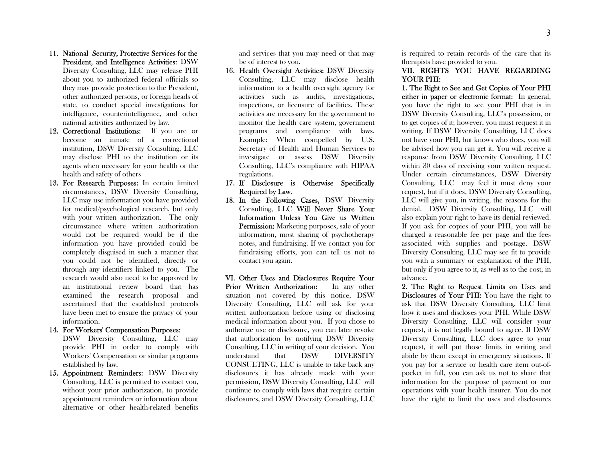- 11. National Security, Protective Services for the President, and Intelligence Activities: DSW Diversity Consulting, LLC may release PHI about you to authorized federal officials so they may provide protection to the President, other authorized persons, or foreign heads of state, to conduct special investigations for intelligence, counterintelligence, and other national activities authorized by law.
- 12. Correctional Institutions: If you are or become an inmate of a correctional institution, DSW Diversity Consulting, LLC may disclose PHI to the institution or its agents when necessary for your health or the health and safety of others
- 13. For Research Purposes: In certain limited circumstances, DSW Diversity Consulting, LLC may use information you have provided for medical/psychological research, but only with your written authorization. The only circumstance where written authorization would not be required would be if the information you have provided could be completely disguised in such a manner that you could not be identified, directly or through any identifiers linked to you. The research would also need to be approved by an institutional review board that has examined the research proposal and ascertained that the established protocols have been met to ensure the privacy of your information.
- 14. For Workers' Compensation Purposes: DSW Diversity Consulting, LLC may provide PHI in order to comply with Workers' Compensation or similar programs established by law.
- 15. Appointment Reminders: DSW Diversity Consulting, LLC is permitted to contact you, without your prior authorization, to provide appointment reminders or information about alternative or other health-related benefits

and services that you may need or that may be of interest to you.

- 16. Health Oversight Activities: DSW Diversity Consulting, LLC may disclose health information to a health oversight agency for activities such as audits, investigations, inspections, or licensure of facilities. These activities are necessary for the government to monitor the health care system, government programs and compliance with laws. Example: When compelled by U.S. Secretary of Health and Human Services to investigate or assess DSW Diversity Consulting, LLC's compliance with HIPAA regulations.
- 17. If Disclosure is Otherwise Specifically Required by Law.
- 18. In the Following Cases, DSW Diversity Consulting, LLC Will Never Share Your Information Unless You Give us Written Permission: Marketing purposes, sale of your information, most sharing of psychotherapy notes, and fundraising. If we contact you for fundraising efforts, you can tell us not to contact you again.

VI. Other Uses and Disclosures Require Your Prior Written Authorization: In any other situation not covered by this notice, DSW Diversity Consulting, LLC will ask for your written authorization before using or disclosing medical information about you. If you chose to authorize use or disclosure, you can later revoke that authorization by notifying DSW Diversity Consulting, LLC in writing of your decision. You understand that DSW DIVERSITY CONSULTING, LLC is unable to take back any disclosures it has already made with your permission, DSW Diversity Consulting, LLC will continue to comply with laws that require certain disclosures, and DSW Diversity Consulting, LLC is required to retain records of the care that its therapists have provided to you.

#### VII. RIGHTS YOU HAVE REGARDING YOUR PHI:

1. The Right to See and Get Copies of Your PHI either in paper or electronic format: In general, you have the right to see your PHI that is in DSW Diversity Consulting, LLC's possession, or to get copies of it; however, you must request it in writing. If DSW Diversity Consulting, LLC does not have your PHI, but knows who does, you will be advised how you can get it. You will receive a response from DSW Diversity Consulting, LLC within 30 days of receiving your written request. Under certain circumstances, DSW Diversity Consulting, LLC may feel it must deny your request, but if it does, DSW Diversity Consulting, LLC will give you, in writing, the reasons for the denial. DSW Diversity Consulting, LLC will also explain your right to have its denial reviewed. If you ask for copies of your PHI, you will be charged a reasonable fee per page and the fees associated with supplies and postage. DSW Diversity Consulting, LLC may see fit to provide you with a summary or explanation of the PHI, but only if you agree to it, as well as to the cost, in advance.

2. The Right to Request Limits on Uses and Disclosures of Your PHI: You have the right to ask that DSW Diversity Consulting, LLC limit how it uses and discloses your PHI. While DSW Diversity Consulting, LLC will consider your request, it is not legally bound to agree. If DSW Diversity Consulting, LLC does agree to your request, it will put those limits in writing and abide by them except in emergency situations. If you pay for a service or health care item out-ofpocket in full, you can ask us not to share that information for the purpose of payment or our operations with your health insurer. You do not have the right to limit the uses and disclosures